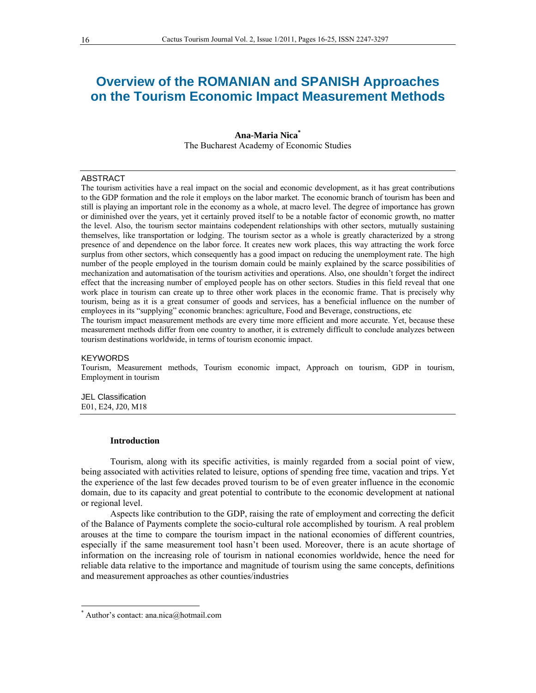# **Overview of the ROMANIAN and SPANISH Approaches on the Tourism Economic Impact Measurement Methods**

# **Ana-Maria Nica\***  The Bucharest Academy of Economic Studies

## ABSTRACT

The tourism activities have a real impact on the social and economic development, as it has great contributions to the GDP formation and the role it employs on the labor market. The economic branch of tourism has been and still is playing an important role in the economy as a whole, at macro level. The degree of importance has grown or diminished over the years, yet it certainly proved itself to be a notable factor of economic growth, no matter the level. Also, the tourism sector maintains codependent relationships with other sectors, mutually sustaining themselves, like transportation or lodging. The tourism sector as a whole is greatly characterized by a strong presence of and dependence on the labor force. It creates new work places, this way attracting the work force surplus from other sectors, which consequently has a good impact on reducing the unemployment rate. The high number of the people employed in the tourism domain could be mainly explained by the scarce possibilities of mechanization and automatisation of the tourism activities and operations. Also, one shouldn't forget the indirect effect that the increasing number of employed people has on other sectors. Studies in this field reveal that one work place in tourism can create up to three other work places in the economic frame. That is precisely why tourism, being as it is a great consumer of goods and services, has a beneficial influence on the number of employees in its "supplying" economic branches: agriculture, Food and Beverage, constructions, etc

The tourism impact measurement methods are every time more efficient and more accurate. Yet, because these measurement methods differ from one country to another, it is extremely difficult to conclude analyzes between tourism destinations worldwide, in terms of tourism economic impact.

#### **KEYWORDS**

Tourism, Measurement methods, Tourism economic impact, Approach on tourism, GDP in tourism, Employment in tourism

JEL Classification E01, E24, J20, M18

#### **Introduction**

Tourism, along with its specific activities, is mainly regarded from a social point of view, being associated with activities related to leisure, options of spending free time, vacation and trips. Yet the experience of the last few decades proved tourism to be of even greater influence in the economic domain, due to its capacity and great potential to contribute to the economic development at national or regional level.

Aspects like contribution to the GDP, raising the rate of employment and correcting the deficit of the Balance of Payments complete the socio-cultural role accomplished by tourism. A real problem arouses at the time to compare the tourism impact in the national economies of different countries, especially if the same measurement tool hasn't been used. Moreover, there is an acute shortage of information on the increasing role of tourism in national economies worldwide, hence the need for reliable data relative to the importance and magnitude of tourism using the same concepts, definitions and measurement approaches as other counties/industries

 $\overline{a}$ 

<sup>\*</sup> Author's contact: ana.nica@hotmail.com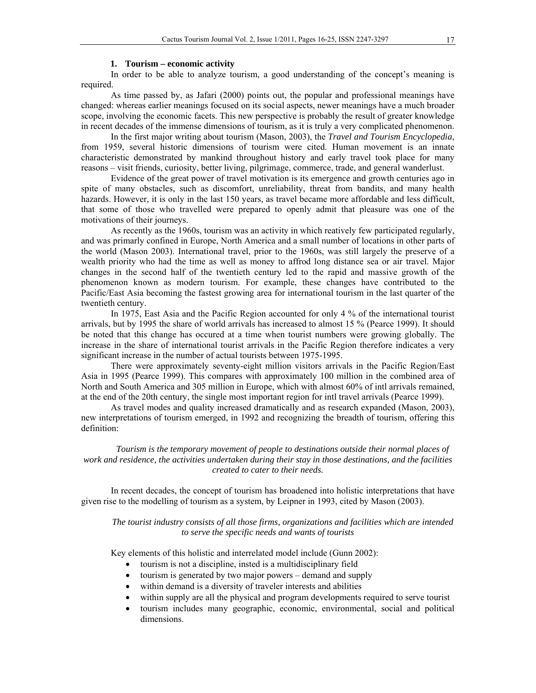## **1. Tourism – economic activity**

In order to be able to analyze tourism, a good understanding of the concept's meaning is required.

As time passed by, as Jafari (2000) points out, the popular and professional meanings have changed: whereas earlier meanings focused on its social aspects, newer meanings have a much broader scope, involving the economic facets. This new perspective is probably the result of greater knowledge in recent decades of the immense dimensions of tourism, as it is truly a very complicated phenomenon.

In the first major writing about tourism (Mason, 2003), the *Travel and Tourism Encyclopedia*, from 1959, several historic dimensions of tourism were cited. Human movement is an innate characteristic demonstrated by mankind throughout history and early travel took place for many reasons – visit friends, curiosity, better living, pilgrimage, commerce, trade, and general wanderlust.

Evidence of the great power of travel motivation is its emergence and growth centuries ago in spite of many obstacles, such as discomfort, unreliability, threat from bandits, and many health hazards. However, it is only in the last 150 years, as travel became more affordable and less difficult, that some of those who travelled were prepared to openly admit that pleasure was one of the motivations of their journeys.

As recently as the 1960s, tourism was an activity in which reatively few participated regularly, and was primarly confined in Europe, North America and a small number of locations in other parts of the world (Mason 2003). International travel, prior to the 1960s, was still largely the preserve of a wealth priority who had the time as well as money to affrod long distance sea or air travel. Major changes in the second half of the twentieth century led to the rapid and massive growth of the phenomenon known as modern tourism. For example, these changes have contributed to the Pacific/East Asia becoming the fastest growing area for international tourism in the last quarter of the twentieth century.

In 1975, East Asia and the Pacific Region accounted for only 4 % of the international tourist arrivals, but by 1995 the share of world arrivals has increased to almost 15 % (Pearce 1999). It should be noted that this change has occured at a time when tourist numbers were growing globally. The increase in the share of international tourist arrivals in the Pacific Region therefore indicates a very significant increase in the number of actual tourists between 1975-1995.

There were approximately seventy-eight million visitors arrivals in the Pacific Region/East Asia in 1995 (Pearce 1999). This compares with approximately 100 million in the combined area of North and South America and 305 million in Europe, which with almost 60% of intl arrivals remained, at the end of the 20th century, the single most important region for intl travel arrivals (Pearce 1999).

As travel modes and quality increased dramatically and as research expanded (Mason, 2003), new interpretations of tourism emerged, in 1992 and recognizing the breadth of tourism, offering this definition:

*Tourism is the temporary movement of people to destinations outside their normal places of work and residence, the activities undertaken during their stay in those destinations, and the facilities created to cater to their needs.* 

In recent decades, the concept of tourism has broadened into holistic interpretations that have given rise to the modelling of tourism as a system, by Leipner in 1993, cited by Mason (2003).

*The tourist industry consists of all those firms, organizations and facilities which are intended to serve the specific needs and wants of tourists* 

Key elements of this holistic and interrelated model include (Gunn 2002):

- tourism is not a discipline, insted is a multidisciplinary field
- tourism is generated by two major powers demand and supply
- within demand is a diversity of traveler interests and abilities
- within supply are all the physical and program developments required to serve tourist
- tourism includes many geographic, economic, environmental, social and political dimensions.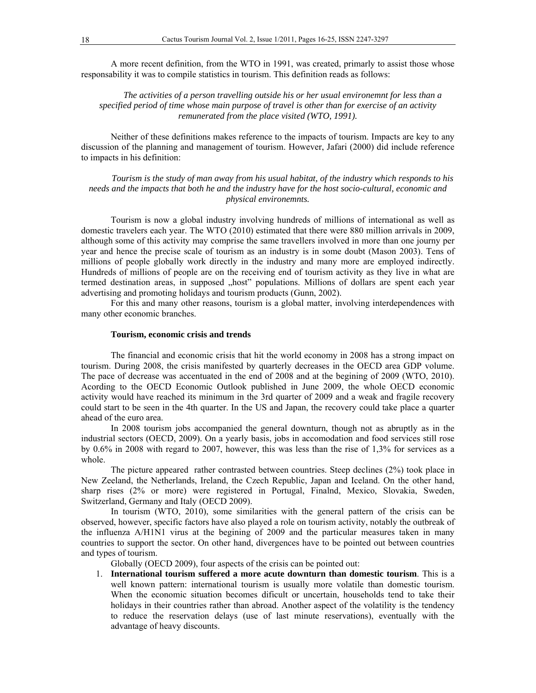A more recent definition, from the WTO in 1991, was created, primarly to assist those whose responsability it was to compile statistics in tourism. This definition reads as follows:

*The activities of a person travelling outside his or her usual environemnt for less than a specified period of time whose main purpose of travel is other than for exercise of an activity remunerated from the place visited (WTO, 1991).* 

Neither of these definitions makes reference to the impacts of tourism. Impacts are key to any discussion of the planning and management of tourism. However, Jafari (2000) did include reference to impacts in his definition:

*Tourism is the study of man away from his usual habitat, of the industry which responds to his needs and the impacts that both he and the industry have for the host socio-cultural, economic and physical environemnts.* 

Tourism is now a global industry involving hundreds of millions of international as well as domestic travelers each year. The WTO (2010) estimated that there were 880 million arrivals in 2009, although some of this activity may comprise the same travellers involved in more than one journy per year and hence the precise scale of tourism as an industry is in some doubt (Mason 2003). Tens of millions of people globally work directly in the industry and many more are employed indirectly. Hundreds of millions of people are on the receiving end of tourism activity as they live in what are termed destination areas, in supposed "host" populations. Millions of dollars are spent each year advertising and promoting holidays and tourism products (Gunn, 2002).

For this and many other reasons, tourism is a global matter, involving interdependences with many other economic branches.

## **Tourism, economic crisis and trends**

The financial and economic crisis that hit the world economy in 2008 has a strong impact on tourism. During 2008, the crisis manifested by quarterly decreases in the OECD area GDP volume. The pace of decrease was accentuated in the end of 2008 and at the begining of 2009 (WTO, 2010). Acording to the OECD Economic Outlook published in June 2009, the whole OECD economic activity would have reached its minimum in the 3rd quarter of 2009 and a weak and fragile recovery could start to be seen in the 4th quarter. In the US and Japan, the recovery could take place a quarter ahead of the euro area.

In 2008 tourism jobs accompanied the general downturn, though not as abruptly as in the industrial sectors (OECD, 2009). On a yearly basis, jobs in accomodation and food services still rose by 0.6% in 2008 with regard to 2007, however, this was less than the rise of 1,3% for services as a whole.

The picture appeared rather contrasted between countries. Steep declines (2%) took place in New Zeeland, the Netherlands, Ireland, the Czech Republic, Japan and Iceland. On the other hand, sharp rises (2% or more) were registered in Portugal, Finalnd, Mexico, Slovakia, Sweden, Switzerland, Germany and Italy (OECD 2009).

In tourism (WTO, 2010), some similarities with the general pattern of the crisis can be observed, however, specific factors have also played a role on tourism activity, notably the outbreak of the influenza A/H1N1 virus at the begining of 2009 and the particular measures taken in many countries to support the sector. On other hand, divergences have to be pointed out between countries and types of tourism.

Globally (OECD 2009), four aspects of the crisis can be pointed out:

1. **International tourism suffered a more acute downturn than domestic tourism**. This is a well known pattern: international tourism is usually more volatile than domestic tourism. When the economic situation becomes dificult or uncertain, households tend to take their holidays in their countries rather than abroad. Another aspect of the volatility is the tendency to reduce the reservation delays (use of last minute reservations), eventually with the advantage of heavy discounts.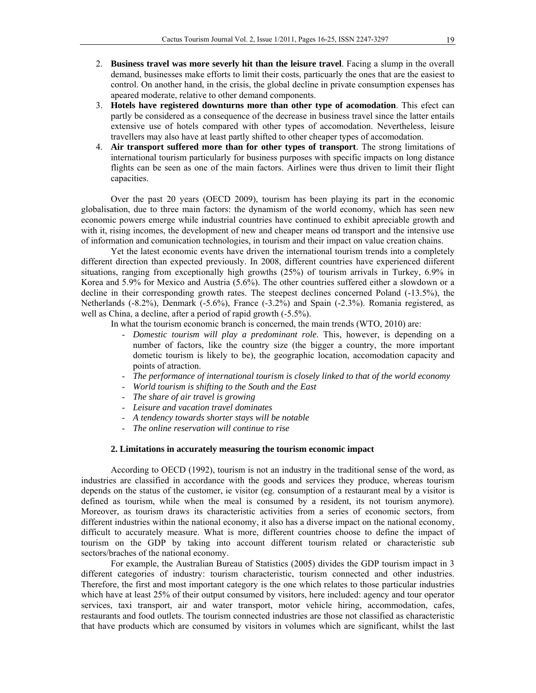- 2. **Business travel was more severly hit than the leisure travel**. Facing a slump in the overall demand, businesses make efforts to limit their costs, particuarly the ones that are the easiest to control. On another hand, in the crisis, the global decline in private consumption expenses has apeared moderate, relative to other demand components.
- 3. **Hotels have registered downturns more than other type of acomodation**. This efect can partly be considered as a consequence of the decrease in business travel since the latter entails extensive use of hotels compared with other types of accomodation. Nevertheless, leisure travellers may also have at least partly shifted to other cheaper types of accomodation.
- 4. **Air transport suffered more than for other types of transport**. The strong limitations of international tourism particularly for business purposes with specific impacts on long distance flights can be seen as one of the main factors. Airlines were thus driven to limit their flight capacities.

Over the past 20 years (OECD 2009), tourism has been playing its part in the economic globalisation, due to three main factors: the dynamism of the world economy, which has seen new economic powers emerge while industrial countries have continued to exhibit apreciable growth and with it, rising incomes, the development of new and cheaper means od transport and the intensive use of information and comunication technologies, in tourism and their impact on value creation chains.

Yet the latest economic events have driven the international tourism trends into a completely different direction than expected previously. In 2008, different countries have experienced diiferent situations, ranging from exceptionally high growths (25%) of tourism arrivals in Turkey, 6.9% in Korea and 5.9% for Mexico and Austria (5.6%). The other countries suffered either a slowdown or a decline in their corresponding growth rates. The steepest declines concerned Poland (-13.5%), the Netherlands (-8.2%), Denmark (-5.6%), France (-3.2%) and Spain (-2.3%). Romania registered, as well as China, a decline, after a period of rapid growth (-5.5%).

In what the tourism economic branch is concerned, the main trends (WTO, 2010) are:

- *Domestic tourism will play a predominant role*. This, however, is depending on a number of factors, like the country size (the bigger a country, the more important dometic tourism is likely to be), the geographic location, accomodation capacity and points of atraction.
- *The performance of international tourism is closely linked to that of the world economy*
- *World tourism is shifting to the South and the East*
- *The share of air travel is growing*
- *Leisure and vacation travel dominates*
- *A tendency towards shorter stays will be notable*
- *The online reservation will continue to rise*

## **2. Limitations in accurately measuring the tourism economic impact**

According to OECD (1992), tourism is not an industry in the traditional sense of the word, as industries are classified in accordance with the goods and services they produce, whereas tourism depends on the status of the customer, ie visitor (eg. consumption of a restaurant meal by a visitor is defined as tourism, while when the meal is consumed by a resident, its not tourism anymore). Moreover, as tourism draws its characteristic activities from a series of economic sectors, from different industries within the national economy, it also has a diverse impact on the national economy, difficult to accurately measure. What is more, different countries choose to define the impact of tourism on the GDP by taking into account different tourism related or characteristic sub sectors/braches of the national economy.

For example, the Australian Bureau of Statistics (2005) divides the GDP tourism impact in 3 different categories of industry: tourism characteristic, tourism connected and other industries. Therefore, the first and most important category is the one which relates to those particular industries which have at least 25% of their output consumed by visitors, here included: agency and tour operator services, taxi transport, air and water transport, motor vehicle hiring, accommodation, cafes, restaurants and food outlets. The tourism connected industries are those not classified as characteristic that have products which are consumed by visitors in volumes which are significant, whilst the last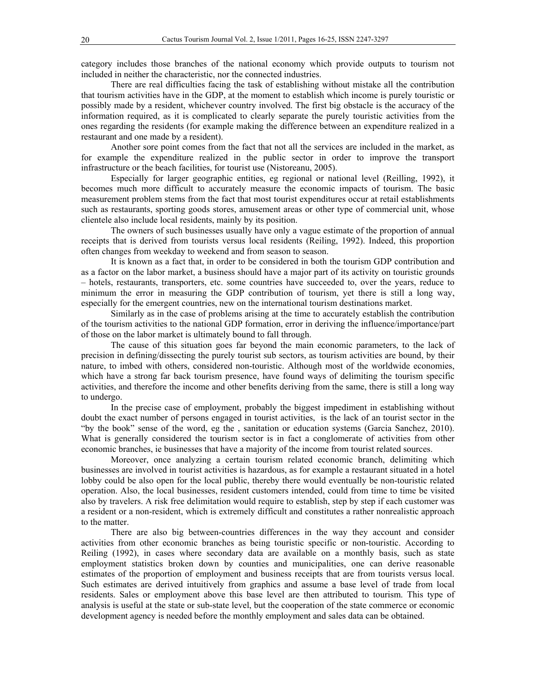category includes those branches of the national economy which provide outputs to tourism not included in neither the characteristic, nor the connected industries.

There are real difficulties facing the task of establishing without mistake all the contribution that tourism activities have in the GDP, at the moment to establish which income is purely touristic or possibly made by a resident, whichever country involved. The first big obstacle is the accuracy of the information required, as it is complicated to clearly separate the purely touristic activities from the ones regarding the residents (for example making the difference between an expenditure realized in a restaurant and one made by a resident).

Another sore point comes from the fact that not all the services are included in the market, as for example the expenditure realized in the public sector in order to improve the transport infrastructure or the beach facilities, for tourist use (Nistoreanu, 2005).

Especially for larger geographic entities, eg regional or national level (Reilling, 1992), it becomes much more difficult to accurately measure the economic impacts of tourism. The basic measurement problem stems from the fact that most tourist expenditures occur at retail establishments such as restaurants, sporting goods stores, amusement areas or other type of commercial unit, whose clientele also include local residents, mainly by its position.

The owners of such businesses usually have only a vague estimate of the proportion of annual receipts that is derived from tourists versus local residents (Reiling, 1992). Indeed, this proportion often changes from weekday to weekend and from season to season.

It is known as a fact that, in order to be considered in both the tourism GDP contribution and as a factor on the labor market, a business should have a major part of its activity on touristic grounds – hotels, restaurants, transporters, etc. some countries have succeeded to, over the years, reduce to minimum the error in measuring the GDP contribution of tourism, yet there is still a long way, especially for the emergent countries, new on the international tourism destinations market.

Similarly as in the case of problems arising at the time to accurately establish the contribution of the tourism activities to the national GDP formation, error in deriving the influence/importance/part of those on the labor market is ultimately bound to fall through.

The cause of this situation goes far beyond the main economic parameters, to the lack of precision in defining/dissecting the purely tourist sub sectors, as tourism activities are bound, by their nature, to imbed with others, considered non-touristic. Although most of the worldwide economies, which have a strong far back tourism presence, have found ways of delimiting the tourism specific activities, and therefore the income and other benefits deriving from the same, there is still a long way to undergo.

In the precise case of employment, probably the biggest impediment in establishing without doubt the exact number of persons engaged in tourist activities, is the lack of an tourist sector in the "by the book" sense of the word, eg the , sanitation or education systems (Garcia Sanchez, 2010). What is generally considered the tourism sector is in fact a conglomerate of activities from other economic branches, ie businesses that have a majority of the income from tourist related sources.

Moreover, once analyzing a certain tourism related economic branch, delimiting which businesses are involved in tourist activities is hazardous, as for example a restaurant situated in a hotel lobby could be also open for the local public, thereby there would eventually be non-touristic related operation. Also, the local businesses, resident customers intended, could from time to time be visited also by travelers. A risk free delimitation would require to establish, step by step if each customer was a resident or a non-resident, which is extremely difficult and constitutes a rather nonrealistic approach to the matter.

There are also big between-countries differences in the way they account and consider activities from other economic branches as being touristic specific or non-touristic. According to Reiling (1992), in cases where secondary data are available on a monthly basis, such as state employment statistics broken down by counties and municipalities, one can derive reasonable estimates of the proportion of employment and business receipts that are from tourists versus local. Such estimates are derived intuitively from graphics and assume a base level of trade from local residents. Sales or employment above this base level are then attributed to tourism. This type of analysis is useful at the state or sub-state level, but the cooperation of the state commerce or economic development agency is needed before the monthly employment and sales data can be obtained.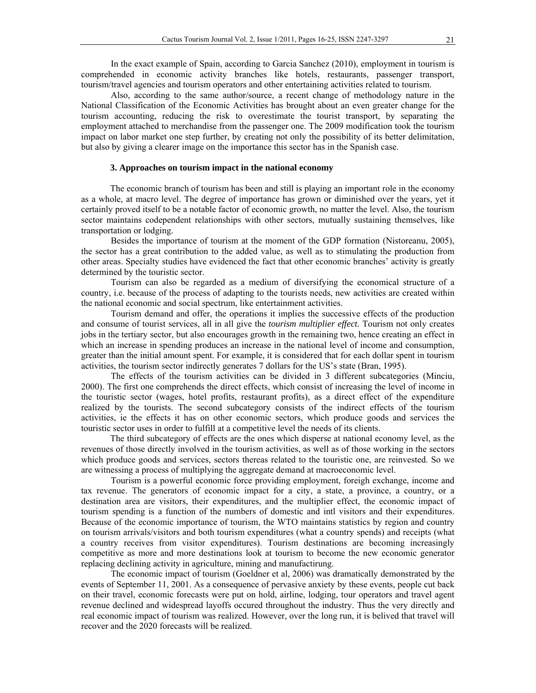In the exact example of Spain, according to Garcia Sanchez (2010), employment in tourism is comprehended in economic activity branches like hotels, restaurants, passenger transport, tourism/travel agencies and tourism operators and other entertaining activities related to tourism.

Also, according to the same author/source, a recent change of methodology nature in the National Classification of the Economic Activities has brought about an even greater change for the tourism accounting, reducing the risk to overestimate the tourist transport, by separating the employment attached to merchandise from the passenger one. The 2009 modification took the tourism impact on labor market one step further, by creating not only the possibility of its better delimitation, but also by giving a clearer image on the importance this sector has in the Spanish case.

## **3. Approaches on tourism impact in the national economy**

The economic branch of tourism has been and still is playing an important role in the economy as a whole, at macro level. The degree of importance has grown or diminished over the years, yet it certainly proved itself to be a notable factor of economic growth, no matter the level. Also, the tourism sector maintains codependent relationships with other sectors, mutually sustaining themselves, like transportation or lodging.

Besides the importance of tourism at the moment of the GDP formation (Nistoreanu, 2005), the sector has a great contribution to the added value, as well as to stimulating the production from other areas. Specialty studies have evidenced the fact that other economic branches' activity is greatly determined by the touristic sector.

Tourism can also be regarded as a medium of diversifying the economical structure of a country, i.e. because of the process of adapting to the tourists needs, new activities are created within the national economic and social spectrum, like entertainment activities.

Tourism demand and offer, the operations it implies the successive effects of the production and consume of tourist services, all in all give the *tourism multiplier effect.* Tourism not only creates jobs in the tertiary sector, but also encourages growth in the remaining two, hence creating an effect in which an increase in spending produces an increase in the national level of income and consumption, greater than the initial amount spent. For example, it is considered that for each dollar spent in tourism activities, the tourism sector indirectly generates 7 dollars for the US's state (Bran, 1995).

The effects of the tourism activities can be divided in 3 different subcategories (Minciu, 2000). The first one comprehends the direct effects, which consist of increasing the level of income in the touristic sector (wages, hotel profits, restaurant profits), as a direct effect of the expenditure realized by the tourists. The second subcategory consists of the indirect effects of the tourism activities, ie the effects it has on other economic sectors, which produce goods and services the touristic sector uses in order to fulfill at a competitive level the needs of its clients.

The third subcategory of effects are the ones which disperse at national economy level, as the revenues of those directly involved in the tourism activities, as well as of those working in the sectors which produce goods and services, sectors thereas related to the touristic one, are reinvested. So we are witnessing a process of multiplying the aggregate demand at macroeconomic level.

Tourism is a powerful economic force providing employment, foreigh exchange, income and tax revenue. The generators of economic impact for a city, a state, a province, a country, or a destination area are visitors, their expenditures, and the multiplier effect, the economic impact of tourism spending is a function of the numbers of domestic and intl visitors and their expenditures. Because of the economic importance of tourism, the WTO maintains statistics by region and country on tourism arrivals/visitors and both tourism expenditures (what a country spends) and receipts (what a country receives from visitor expenditures). Tourism destinations are becoming increasingly competitive as more and more destinations look at tourism to become the new economic generator replacing declining activity in agriculture, mining and manufactirung.

The economic impact of tourism (Goeldner et al, 2006) was dramatically demonstrated by the events of September 11, 2001. As a consequence of pervasive anxiety by these events, people cut back on their travel, economic forecasts were put on hold, airline, lodging, tour operators and travel agent revenue declined and widespread layoffs occured throughout the industry. Thus the very directly and real economic impact of tourism was realized. However, over the long run, it is belived that travel will recover and the 2020 forecasts will be realized.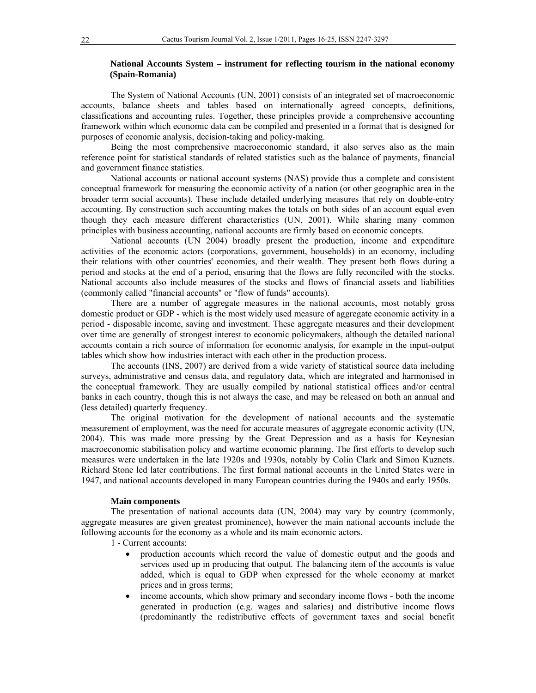# **National Accounts System – instrument for reflecting tourism in the national economy (Spain-Romania)**

The System of National Accounts (UN, 2001) consists of an integrated set of macroeconomic accounts, balance sheets and tables based on internationally agreed concepts, definitions, classifications and accounting rules. Together, these principles provide a comprehensive accounting framework within which economic data can be compiled and presented in a format that is designed for purposes of economic analysis, decision-taking and policy-making.

Being the most comprehensive macroeconomic standard, it also serves also as the main reference point for statistical standards of related statistics such as the balance of payments, financial and government finance statistics.

National accounts or national account systems (NAS) provide thus a complete and consistent conceptual framework for measuring the economic activity of a nation (or other geographic area in the broader term social accounts). These include detailed underlying measures that rely on double-entry accounting. By construction such accounting makes the totals on both sides of an account equal even though they each measure different characteristics (UN, 2001). While sharing many common principles with business accounting, national accounts are firmly based on economic concepts.

National accounts (UN 2004) broadly present the production, income and expenditure activities of the economic actors (corporations, government, households) in an economy, including their relations with other countries' economies, and their wealth. They present both flows during a period and stocks at the end of a period, ensuring that the flows are fully reconciled with the stocks. National accounts also include measures of the stocks and flows of financial assets and liabilities (commonly called "financial accounts" or "flow of funds" accounts).

There are a number of aggregate measures in the national accounts, most notably gross domestic product or GDP - which is the most widely used measure of aggregate economic activity in a period - disposable income, saving and investment. These aggregate measures and their development over time are generally of strongest interest to economic policymakers, although the detailed national accounts contain a rich source of information for economic analysis, for example in the input-output tables which show how industries interact with each other in the production process.

The accounts (INS, 2007) are derived from a wide variety of statistical source data including surveys, administrative and census data, and regulatory data, which are integrated and harmonised in the conceptual framework. They are usually compiled by national statistical offices and/or central banks in each country, though this is not always the case, and may be released on both an annual and (less detailed) quarterly frequency.

The original motivation for the development of national accounts and the systematic measurement of employment, was the need for accurate measures of aggregate economic activity (UN, 2004). This was made more pressing by the Great Depression and as a basis for Keynesian macroeconomic stabilisation policy and wartime economic planning. The first efforts to develop such measures were undertaken in the late 1920s and 1930s, notably by Colin Clark and Simon Kuznets. Richard Stone led later contributions. The first formal national accounts in the United States were in 1947, and national accounts developed in many European countries during the 1940s and early 1950s.

## **Main components**

The presentation of national accounts data (UN, 2004) may vary by country (commonly, aggregate measures are given greatest prominence), however the main national accounts include the following accounts for the economy as a whole and its main economic actors.

- 1 Current accounts:
	- production accounts which record the value of domestic output and the goods and services used up in producing that output. The balancing item of the accounts is value added, which is equal to GDP when expressed for the whole economy at market prices and in gross terms;
	- income accounts, which show primary and secondary income flows both the income generated in production (e.g. wages and salaries) and distributive income flows (predominantly the redistributive effects of government taxes and social benefit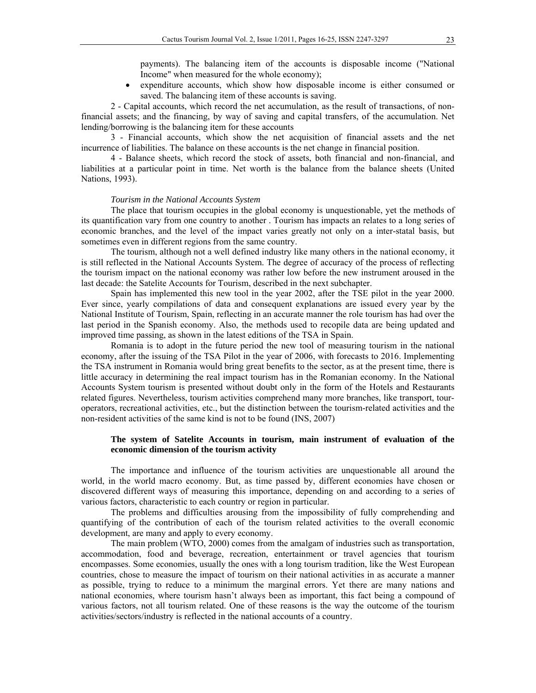payments). The balancing item of the accounts is disposable income ("National Income" when measured for the whole economy);

 expenditure accounts, which show how disposable income is either consumed or saved. The balancing item of these accounts is saving.

2 - Capital accounts, which record the net accumulation, as the result of transactions, of nonfinancial assets; and the financing, by way of saving and capital transfers, of the accumulation. Net lending/borrowing is the balancing item for these accounts

3 - Financial accounts, which show the net acquisition of financial assets and the net incurrence of liabilities. The balance on these accounts is the net change in financial position.

4 - Balance sheets, which record the stock of assets, both financial and non-financial, and liabilities at a particular point in time. Net worth is the balance from the balance sheets (United Nations, 1993).

## *Tourism in the National Accounts System*

The place that tourism occupies in the global economy is unquestionable, yet the methods of its quantification vary from one country to another . Tourism has impacts an relates to a long series of economic branches, and the level of the impact varies greatly not only on a inter-statal basis, but sometimes even in different regions from the same country.

The tourism, although not a well defined industry like many others in the national economy, it is still reflected in the National Accounts System. The degree of accuracy of the process of reflecting the tourism impact on the national economy was rather low before the new instrument aroused in the last decade: the Satelite Accounts for Tourism, described in the next subchapter.

Spain has implemented this new tool in the year 2002, after the TSE pilot in the year 2000. Ever since, yearly compilations of data and consequent explanations are issued every year by the National Institute of Tourism, Spain, reflecting in an accurate manner the role tourism has had over the last period in the Spanish economy. Also, the methods used to recopile data are being updated and improved time passing, as shown in the latest editions of the TSA in Spain.

Romania is to adopt in the future period the new tool of measuring tourism in the national economy, after the issuing of the TSA Pilot in the year of 2006, with forecasts to 2016. Implementing the TSA instrument in Romania would bring great benefits to the sector, as at the present time, there is little accuracy in determining the real impact tourism has in the Romanian economy. In the National Accounts System tourism is presented without doubt only in the form of the Hotels and Restaurants related figures. Nevertheless, tourism activities comprehend many more branches, like transport, touroperators, recreational activities, etc., but the distinction between the tourism-related activities and the non-resident activities of the same kind is not to be found (INS, 2007)

# **The system of Satelite Accounts in tourism, main instrument of evaluation of the economic dimension of the tourism activity**

The importance and influence of the tourism activities are unquestionable all around the world, in the world macro economy. But, as time passed by, different economies have chosen or discovered different ways of measuring this importance, depending on and according to a series of various factors, characteristic to each country or region in particular.

The problems and difficulties arousing from the impossibility of fully comprehending and quantifying of the contribution of each of the tourism related activities to the overall economic development, are many and apply to every economy.

The main problem (WTO, 2000) comes from the amalgam of industries such as transportation, accommodation, food and beverage, recreation, entertainment or travel agencies that tourism encompasses. Some economies, usually the ones with a long tourism tradition, like the West European countries, chose to measure the impact of tourism on their national activities in as accurate a manner as possible, trying to reduce to a minimum the marginal errors. Yet there are many nations and national economies, where tourism hasn't always been as important, this fact being a compound of various factors, not all tourism related. One of these reasons is the way the outcome of the tourism activities/sectors/industry is reflected in the national accounts of a country.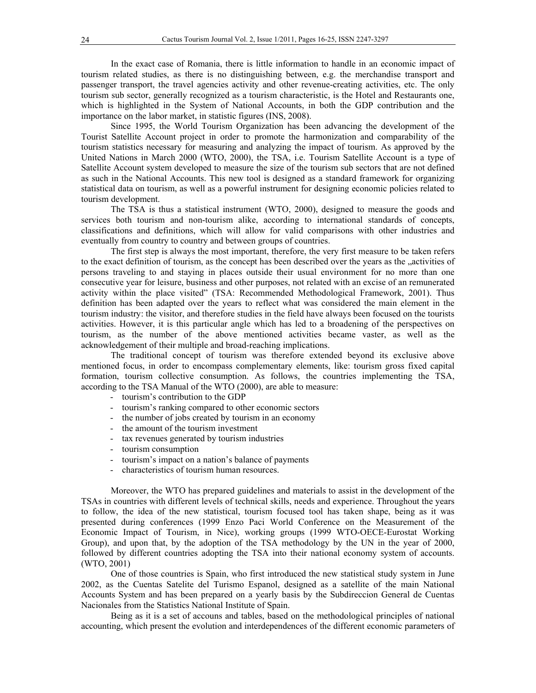In the exact case of Romania, there is little information to handle in an economic impact of tourism related studies, as there is no distinguishing between, e.g. the merchandise transport and passenger transport, the travel agencies activity and other revenue-creating activities, etc. The only tourism sub sector, generally recognized as a tourism characteristic, is the Hotel and Restaurants one, which is highlighted in the System of National Accounts, in both the GDP contribution and the importance on the labor market, in statistic figures (INS, 2008).

Since 1995, the World Tourism Organization has been advancing the development of the Tourist Satellite Account project in order to promote the harmonization and comparability of the tourism statistics necessary for measuring and analyzing the impact of tourism. As approved by the United Nations in March 2000 (WTO, 2000), the TSA, i.e. Tourism Satellite Account is a type of Satellite Account system developed to measure the size of the tourism sub sectors that are not defined as such in the National Accounts. This new tool is designed as a standard framework for organizing statistical data on tourism, as well as a powerful instrument for designing economic policies related to tourism development.

The TSA is thus a statistical instrument (WTO, 2000), designed to measure the goods and services both tourism and non-tourism alike, according to international standards of concepts, classifications and definitions, which will allow for valid comparisons with other industries and eventually from country to country and between groups of countries.

The first step is always the most important, therefore, the very first measure to be taken refers to the exact definition of tourism, as the concept has been described over the years as the "activities of persons traveling to and staying in places outside their usual environment for no more than one consecutive year for leisure, business and other purposes, not related with an excise of an remunerated activity within the place visited" (TSA: Recommended Methodological Framework, 2001). Thus definition has been adapted over the years to reflect what was considered the main element in the tourism industry: the visitor, and therefore studies in the field have always been focused on the tourists activities. However, it is this particular angle which has led to a broadening of the perspectives on tourism, as the number of the above mentioned activities became vaster, as well as the acknowledgement of their multiple and broad-reaching implications.

The traditional concept of tourism was therefore extended beyond its exclusive above mentioned focus, in order to encompass complementary elements, like: tourism gross fixed capital formation, tourism collective consumption. As follows, the countries implementing the TSA, according to the TSA Manual of the WTO (2000), are able to measure:

- tourism's contribution to the GDP
- tourism's ranking compared to other economic sectors
- the number of jobs created by tourism in an economy
- the amount of the tourism investment
- tax revenues generated by tourism industries
- tourism consumption
- tourism's impact on a nation's balance of payments
- characteristics of tourism human resources.

Moreover, the WTO has prepared guidelines and materials to assist in the development of the TSAs in countries with different levels of technical skills, needs and experience. Throughout the years to follow, the idea of the new statistical, tourism focused tool has taken shape, being as it was presented during conferences (1999 Enzo Paci World Conference on the Measurement of the Economic Impact of Tourism, in Nice), working groups (1999 WTO-OECE-Eurostat Working Group), and upon that, by the adoption of the TSA methodology by the UN in the year of 2000, followed by different countries adopting the TSA into their national economy system of accounts. (WTO, 2001)

One of those countries is Spain, who first introduced the new statistical study system in June 2002, as the Cuentas Satelite del Turismo Espanol, designed as a satellite of the main National Accounts System and has been prepared on a yearly basis by the Subdireccion General de Cuentas Nacionales from the Statistics National Institute of Spain.

Being as it is a set of accouns and tables, based on the methodological principles of national accounting, which present the evolution and interdependences of the different economic parameters of